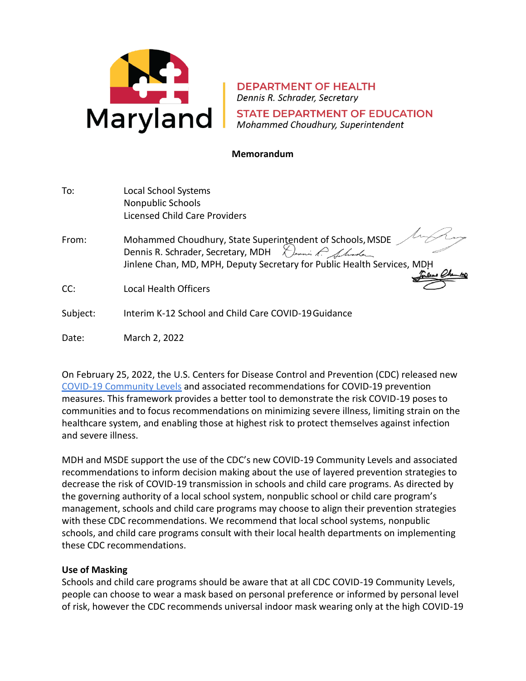

**DEPARTMENT OF HEALTH** Dennis R. Schrader, Secretary **STATE DEPARTMENT OF EDUCATION** Mohammed Choudhury, Superintendent

## **Memorandum**

| To: | <b>Local School Systems</b>   |
|-----|-------------------------------|
|     | Nonpublic Schools             |
|     | Licensed Child Care Providers |

- From: Mohammed Choudhury, State Superintendent of Schools, MSDE Dennis R. Schrader, Secretary, MDH Dennis R. Almoder Jinlene Chan, MD, MPH, Deputy Secretary for Public Health Services, MD
- CC: Local Health Officers
- Subject: Interim K-12 School and Child Care COVID-19Guidance
- Date: March 2, 2022

On February 25, 2022, the U.S. Centers for Disease Control and Prevention (CDC) released new [COVID-19 Community Levels](https://www.cdc.gov/coronavirus/2019-ncov/science/community-levels.html) and associated recommendations for COVID-19 prevention measures. This framework provides a better tool to demonstrate the risk COVID-19 poses to communities and to focus recommendations on minimizing severe illness, limiting strain on the healthcare system, and enabling those at highest risk to protect themselves against infection and severe illness.

MDH and MSDE support the use of the CDC's new COVID-19 Community Levels and associated recommendations to inform decision making about the use of layered prevention strategies to decrease the risk of COVID-19 transmission in schools and child care programs. As directed by the governing authority of a local school system, nonpublic school or child care program's management, schools and child care programs may choose to align their prevention strategies with these CDC recommendations. We recommend that local school systems, nonpublic schools, and child care programs consult with their local health departments on implementing these CDC recommendations.

## **Use of Masking**

Schools and child care programs should be aware that at all CDC COVID-19 Community Levels, people can choose to wear a mask based on personal preference or informed by personal level of risk, however the CDC recommends universal indoor mask wearing only at the high COVID-19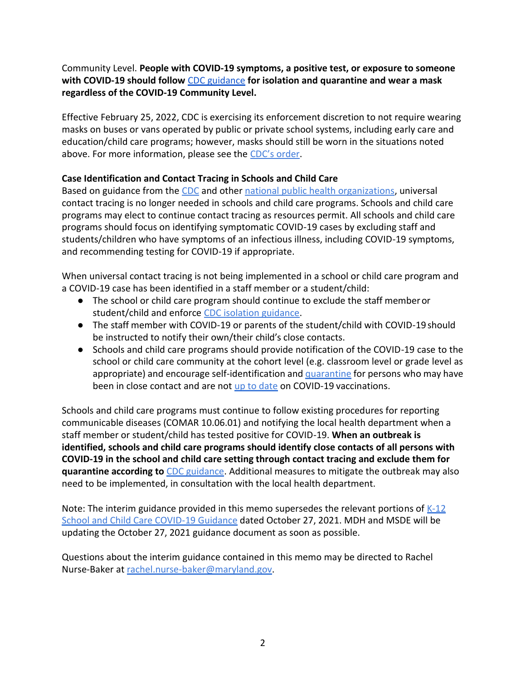Community Level. **People with COVID-19 symptoms, a positive test, or exposure to someone with COVID-19 should follow** [CDC guidance](https://www.cdc.gov/coronavirus/2019-ncov/your-health/quarantine-isolation.html) **for isolation and quarantine and wear a mask regardless of the COVID-19 Community Level.**

Effective February 25, 2022, CDC is exercising its enforcement discretion to not require wearing masks on buses or vans operated by public or private school systems, including early care and education/child care programs; however, masks should still be worn in the situations noted above. For more information, please see the [CDC's order](https://www.cdc.gov/quarantine/masks/mask-travel-guidance.html).

## **Case Identification and Contact Tracing in Schools and Child Care**

Based on guidance from the [CDC](https://www.cdc.gov/coronavirus/2019-ncov/php/contact-tracing/contact-tracing-plan/prioritization.html) and other [national public health organizations,](https://cdn.ymaws.com/www.cste.org/resource/resmgr/covid-19/4e509e47-08ec-4e93-a7be-f301.pdf) universal contact tracing is no longer needed in schools and child care programs. Schools and child care programs may elect to continue contact tracing as resources permit. All schools and child care programs should focus on identifying symptomatic COVID-19 cases by excluding staff and students/children who have symptoms of an infectious illness, including COVID-19 symptoms, and recommending testing for COVID-19 if appropriate.

When universal contact tracing is not being implemented in a school or child care program and a COVID-19 case has been identified in a staff member or a student/child:

- The school or child care program should continue to exclude the staff memberor student/child and enforce [CDC isolation](https://www.cdc.gov/coronavirus/2019-ncov/community/schools-childcare/k-12-contact-tracing/about-isolation.html) guidance.
- The staff member with COVID-19 or parents of the student/child with COVID-19 should be instructed to notify their own/their child's close contacts.
- Schools and child care programs should provide notification of the COVID-19 case to the school or child care community at the cohort level (e.g. classroom level or grade level as appropriate) and encourage self-identification and [quarantine](https://www.cdc.gov/coronavirus/2019-ncov/your-health/quarantine-isolation.html) for persons who may have been in close contact and are not [up to date](https://www.cdc.gov/coronavirus/2019-ncov/vaccines/stay-up-to-date.html) on COVID-19 vaccinations.

Schools and child care programs must continue to follow existing procedures for reporting communicable diseases (COMAR 10.06.01) and notifying the local health department when a staff member or student/child has tested positive for COVID-19. **When an outbreak is identified, schools and child care programs should identify close contacts of all persons with COVID-19 in the school and child care setting through contact tracing and exclude them for quarantine according to** [CDC guidance.](https://www.cdc.gov/coronavirus/2019-ncov/your-health/quarantine-isolation.html) Additional measures to mitigate the outbreak may also need to be implemented, in consultation with the local health department.

Note: The interim guidance provided in this memo supersedes the relevant portions of  $K-12$ [School and Child Care COVID-19 Guidance](https://health.maryland.gov/phpa/Documents/K12%20School%20and%20Childcare%20COVID-19%20Guidance_10.27.21.pdf) dated October 27, 2021. MDH and MSDE will be updating the October 27, 2021 guidance document as soon as possible.

Questions about the interim guidance contained in this memo may be directed to Rachel Nurse-Baker a[t rachel.nurse-baker@maryland.gov.](mailto:rachel.nurse-baker@maryland.gov)